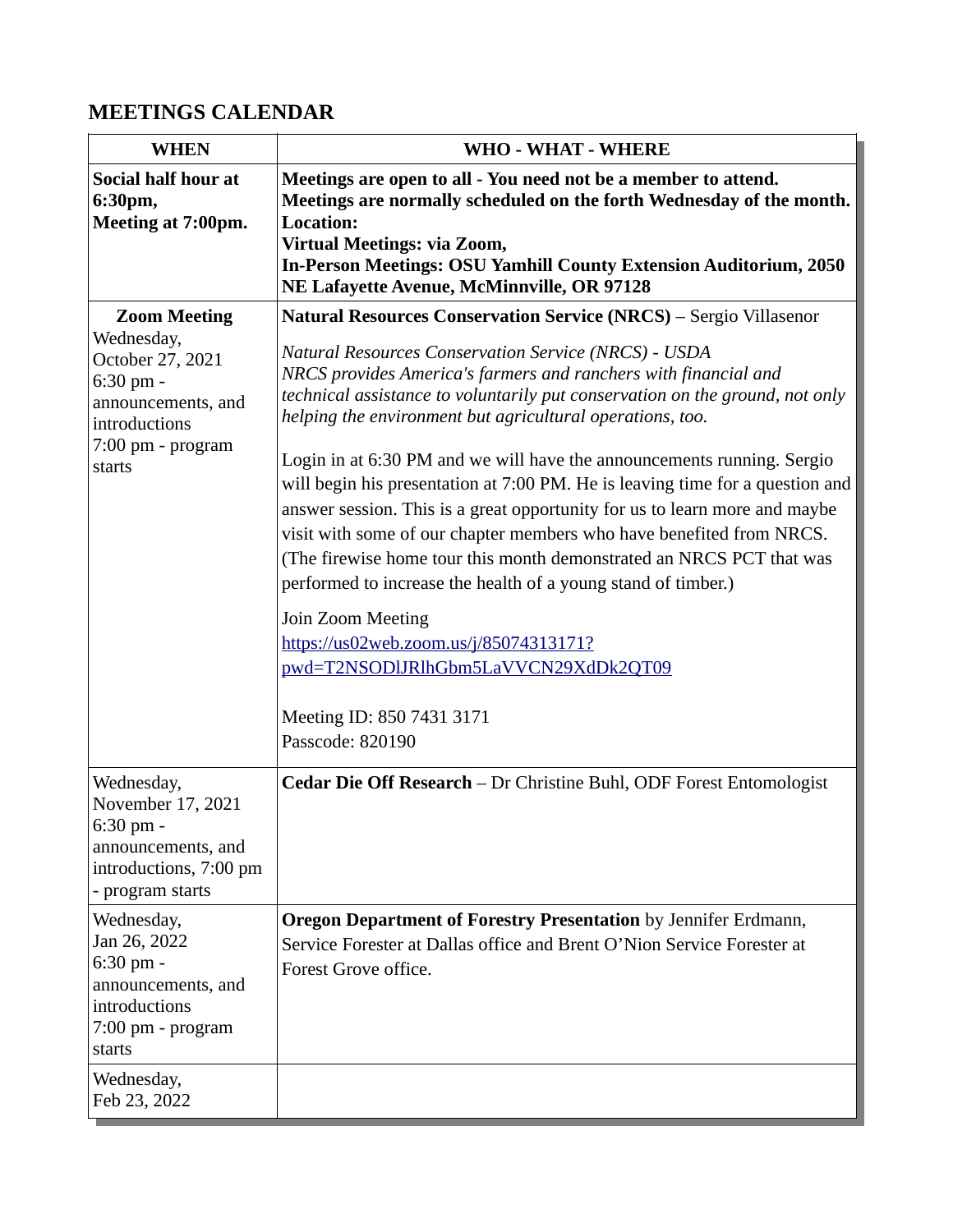## **MEETINGS CALENDAR**

| <b>WHEN</b>                                                                                                                                  | <b>WHO - WHAT - WHERE</b>                                                                                                                                                                                                                                                                                                                                                                                                                                                                                                                                                                                                                                                                                                                                                                                                                                                                                                                                          |
|----------------------------------------------------------------------------------------------------------------------------------------------|--------------------------------------------------------------------------------------------------------------------------------------------------------------------------------------------------------------------------------------------------------------------------------------------------------------------------------------------------------------------------------------------------------------------------------------------------------------------------------------------------------------------------------------------------------------------------------------------------------------------------------------------------------------------------------------------------------------------------------------------------------------------------------------------------------------------------------------------------------------------------------------------------------------------------------------------------------------------|
| Social half hour at<br>6:30pm,<br>Meeting at 7:00pm.                                                                                         | Meetings are open to all - You need not be a member to attend.<br>Meetings are normally scheduled on the forth Wednesday of the month.<br><b>Location:</b><br><b>Virtual Meetings: via Zoom,</b><br><b>In-Person Meetings: OSU Yamhill County Extension Auditorium, 2050</b><br>NE Lafayette Avenue, McMinnville, OR 97128                                                                                                                                                                                                                                                                                                                                                                                                                                                                                                                                                                                                                                         |
| <b>Zoom Meeting</b><br>Wednesday,<br>October 27, 2021<br>$6:30$ pm $-$<br>announcements, and<br>introductions<br>7:00 pm - program<br>starts | <b>Natural Resources Conservation Service (NRCS)</b> - Sergio Villasenor<br>Natural Resources Conservation Service (NRCS) - USDA<br>NRCS provides America's farmers and ranchers with financial and<br>technical assistance to voluntarily put conservation on the ground, not only<br>helping the environment but agricultural operations, too.<br>Login in at 6:30 PM and we will have the announcements running. Sergio<br>will begin his presentation at 7:00 PM. He is leaving time for a question and<br>answer session. This is a great opportunity for us to learn more and maybe<br>visit with some of our chapter members who have benefited from NRCS.<br>(The firewise home tour this month demonstrated an NRCS PCT that was<br>performed to increase the health of a young stand of timber.)<br>Join Zoom Meeting<br>https://us02web.zoom.us/j/85074313171?<br>pwd=T2NSODlJRlhGbm5LaVVCN29XdDk2QT09<br>Meeting ID: 850 7431 3171<br>Passcode: 820190 |
| Wednesday,<br>November 17, 2021<br>6:30 pm -<br>announcements, and<br>introductions, 7:00 pm<br>- program starts                             | Cedar Die Off Research - Dr Christine Buhl, ODF Forest Entomologist                                                                                                                                                                                                                                                                                                                                                                                                                                                                                                                                                                                                                                                                                                                                                                                                                                                                                                |
| Wednesday,<br>Jan 26, 2022<br>6:30 pm -<br>announcements, and<br>introductions<br>7:00 pm - program<br>starts                                | <b>Oregon Department of Forestry Presentation</b> by Jennifer Erdmann,<br>Service Forester at Dallas office and Brent O'Nion Service Forester at<br>Forest Grove office.                                                                                                                                                                                                                                                                                                                                                                                                                                                                                                                                                                                                                                                                                                                                                                                           |
| Wednesday,<br>Feb 23, 2022                                                                                                                   |                                                                                                                                                                                                                                                                                                                                                                                                                                                                                                                                                                                                                                                                                                                                                                                                                                                                                                                                                                    |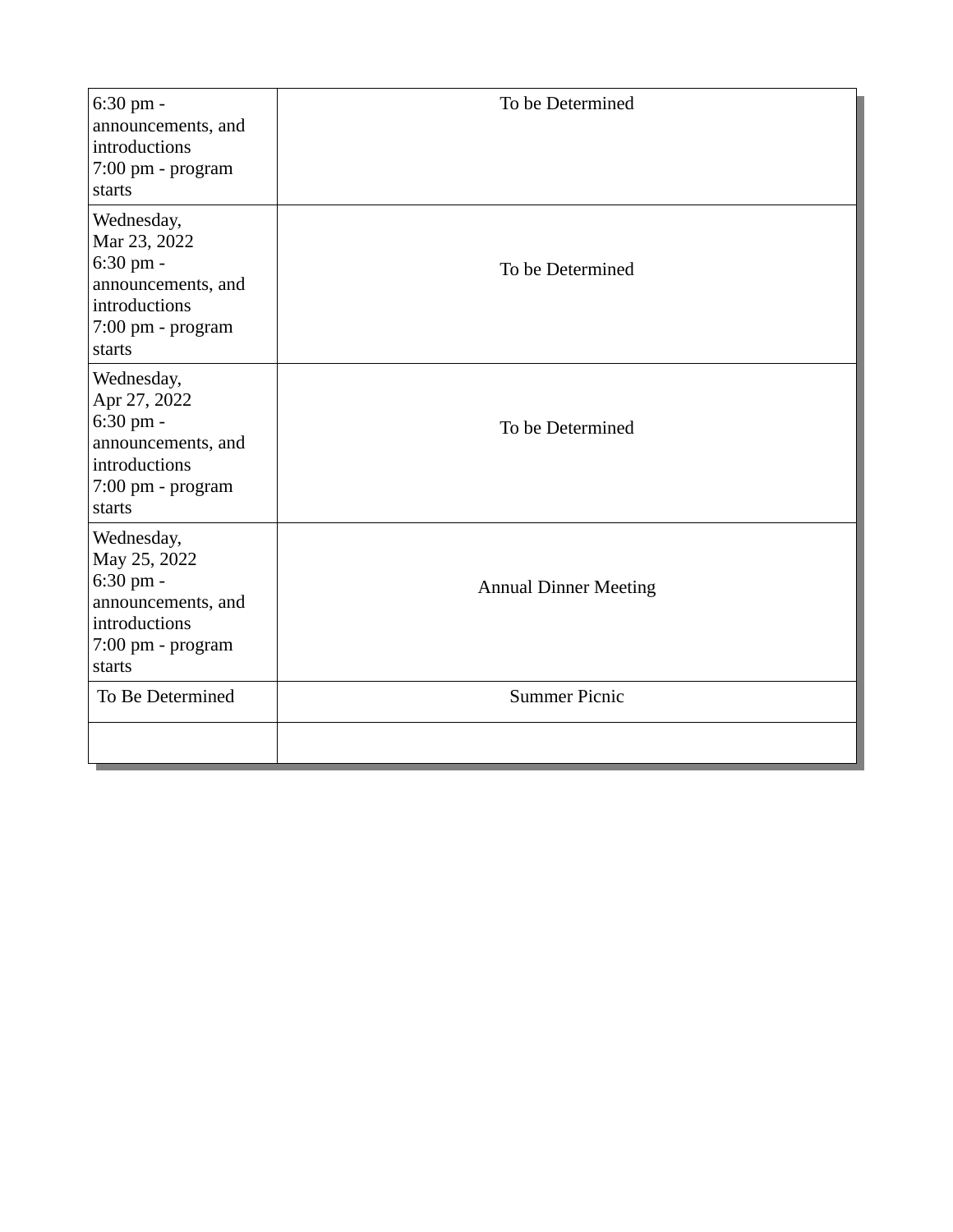| 6:30 pm -<br>announcements, and<br>introductions<br>7:00 pm - program<br>starts                               | To be Determined             |
|---------------------------------------------------------------------------------------------------------------|------------------------------|
| Wednesday,<br>Mar 23, 2022<br>6:30 pm -<br>announcements, and<br>introductions<br>7:00 pm - program<br>starts | To be Determined             |
| Wednesday,<br>Apr 27, 2022<br>6:30 pm -<br>announcements, and<br>introductions<br>7:00 pm - program<br>starts | To be Determined             |
| Wednesday,<br>May 25, 2022<br>6:30 pm -<br>announcements, and<br>introductions<br>7:00 pm - program<br>starts | <b>Annual Dinner Meeting</b> |
| To Be Determined                                                                                              | <b>Summer Picnic</b>         |
|                                                                                                               |                              |